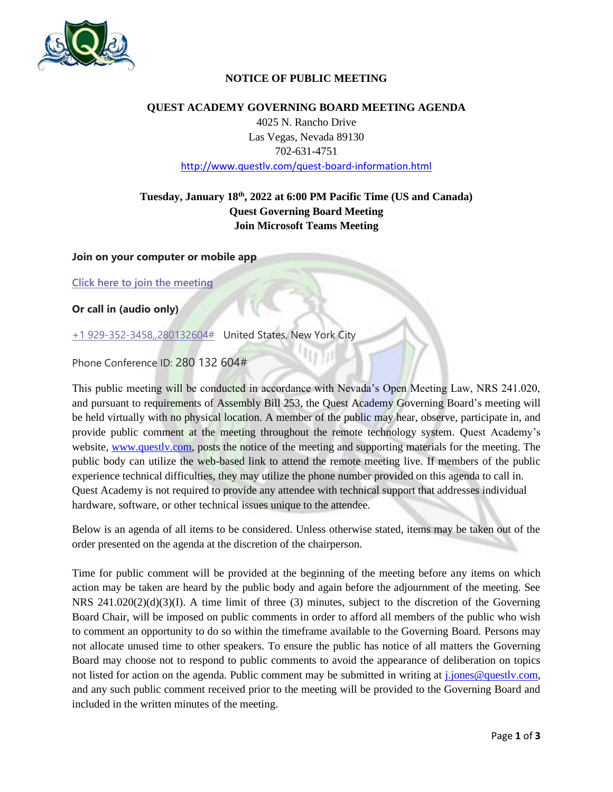

## **NOTICE OF PUBLIC MEETING**

### **QUEST ACADEMY GOVERNING BOARD MEETING AGENDA**

4025 N. Rancho Drive Las Vegas, Nevada 89130 702-631-4751 <http://www.questlv.com/quest-board-information.html>

# **Tuesday, January 18th , 2022 at 6:00 PM Pacific Time (US and Canada) Quest Governing Board Meeting Join Microsoft Teams Meeting**

**Join on your computer or mobile app**

**[Click here to join the meeting](https://teams.microsoft.com/l/meetup-join/19%3a671c1f5ecdbf4d0783db3783e5d41067%40thread.tacv2/1638568175502?context=%7b%22Tid%22%3a%227a4ff53f-4916-461e-8a03-1ade560cd7bf%22%2c%22Oid%22%3a%22f7f24eac-ff27-43e4-9d30-fdd3fe4a177f%22%7d)**

**Or call in (audio only)**

[+1 929-352-3458,,280132604#](tel:+19293523458,,280132604# ) United States, New York City

Phone Conference ID: 280 132 604#

This public meeting will be conducted in accordance with Nevada's Open Meeting Law, NRS 241.020, and pursuant to requirements of Assembly Bill 253, the Quest Academy Governing Board's meeting will be held virtually with no physical location. A member of the public may hear, observe, participate in, and provide public comment at the meeting throughout the remote technology system. Quest Academy's website, [www.questlv.com,](http://www.questlv.com/) posts the notice of the meeting and supporting materials for the meeting. The public body can utilize the web-based link to attend the remote meeting live. If members of the public experience technical difficulties, they may utilize the phone number provided on this agenda to call in. Quest Academy is not required to provide any attendee with technical support that addresses individual hardware, software, or other technical issues unique to the attendee.

Below is an agenda of all items to be considered. Unless otherwise stated, items may be taken out of the order presented on the agenda at the discretion of the chairperson.

Time for public comment will be provided at the beginning of the meeting before any items on which action may be taken are heard by the public body and again before the adjournment of the meeting. See NRS 241.020(2)(d)(3)(I). A time limit of three (3) minutes, subject to the discretion of the Governing Board Chair, will be imposed on public comments in order to afford all members of the public who wish to comment an opportunity to do so within the timeframe available to the Governing Board. Persons may not allocate unused time to other speakers. To ensure the public has notice of all matters the Governing Board may choose not to respond to public comments to avoid the appearance of deliberation on topics not listed for action on the agenda. Public comment may be submitted in writing at *j*.jones@questly.com, and any such public comment received prior to the meeting will be provided to the Governing Board and included in the written minutes of the meeting.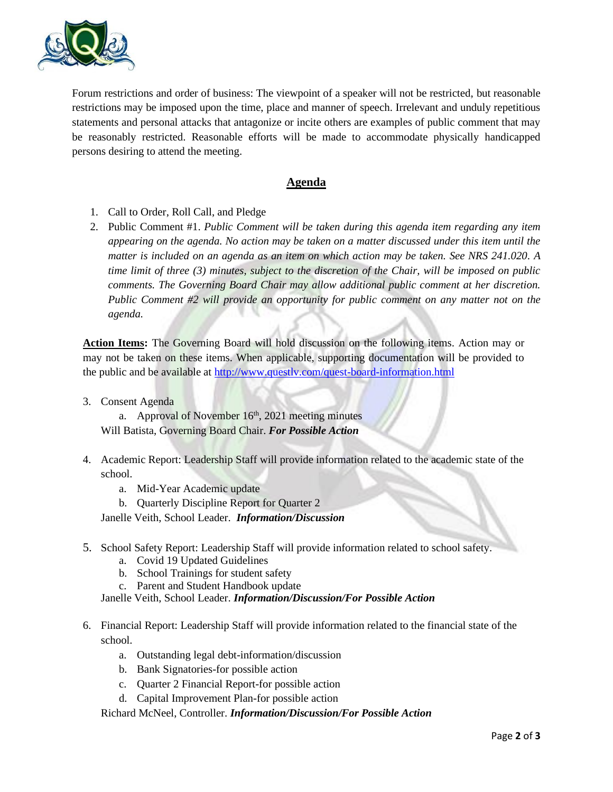

Forum restrictions and order of business: The viewpoint of a speaker will not be restricted, but reasonable restrictions may be imposed upon the time, place and manner of speech. Irrelevant and unduly repetitious statements and personal attacks that antagonize or incite others are examples of public comment that may be reasonably restricted. Reasonable efforts will be made to accommodate physically handicapped persons desiring to attend the meeting.

## **Agenda**

- 1. Call to Order, Roll Call, and Pledge
- 2. Public Comment #1. *Public Comment will be taken during this agenda item regarding any item appearing on the agenda. No action may be taken on a matter discussed under this item until the matter is included on an agenda as an item on which action may be taken. See NRS 241.020. A time limit of three (3) minutes, subject to the discretion of the Chair, will be imposed on public comments. The Governing Board Chair may allow additional public comment at her discretion. Public Comment #2 will provide an opportunity for public comment on any matter not on the agenda.*

**Action Items:** The Governing Board will hold discussion on the following items. Action may or may not be taken on these items. When applicable, supporting documentation will be provided to the public and be available at<http://www.questlv.com/quest-board-information.html>

3. Consent Agenda

a. Approval of November  $16<sup>th</sup>$ , 2021 meeting minutes Will Batista, Governing Board Chair. *For Possible Action*

- 4. Academic Report: Leadership Staff will provide information related to the academic state of the school.
	- a. Mid-Year Academic update
	- b. Quarterly Discipline Report for Quarter 2

Janelle Veith, School Leader. *Information/Discussion*

- 5. School Safety Report: Leadership Staff will provide information related to school safety.
	- a. Covid 19 Updated Guidelines
	- b. School Trainings for student safety
	- c. Parent and Student Handbook update

Janelle Veith, School Leader. *Information/Discussion/For Possible Action*

- 6. Financial Report: Leadership Staff will provide information related to the financial state of the school.
	- a. Outstanding legal debt-information/discussion
	- b. Bank Signatories-for possible action
	- c. Quarter 2 Financial Report-for possible action
	- d. Capital Improvement Plan-for possible action

Richard McNeel, Controller. *Information/Discussion/For Possible Action*